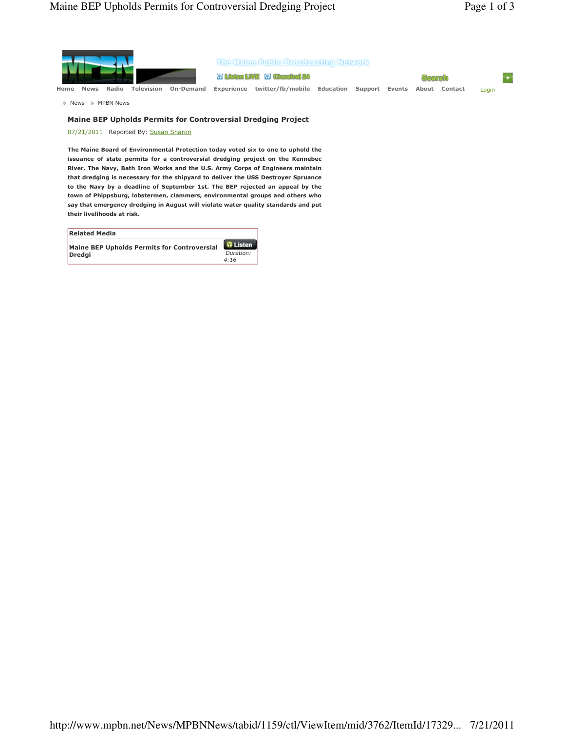

## Maine BEP Upholds Permits for Controversial Dredging Project

07/21/2011 Reported By: Susan Sharon

The Maine Board of Environmental Protection today voted six to one to uphold the issuance of state permits for a controversial dredging project on the Kennebec River. The Navy, Bath Iron Works and the U.S. Army Corps of Engineers maintain that dredging is necessary for the shipyard to deliver the USS Destroyer Spruance to the Navy by a deadline of September 1st. The BEP rejected an appeal by the town of Phippsburg, lobstermen, clammers, environmental groups and others who say that emergency dredging in August will violate water quality standards and put their livelihoods at risk.

| <b>Related Media</b>                        |                 |
|---------------------------------------------|-----------------|
| Maine BEP Upholds Permits for Controversial | <b>O</b> Listen |
| Dredai                                      | Duration:       |
|                                             | 4:16            |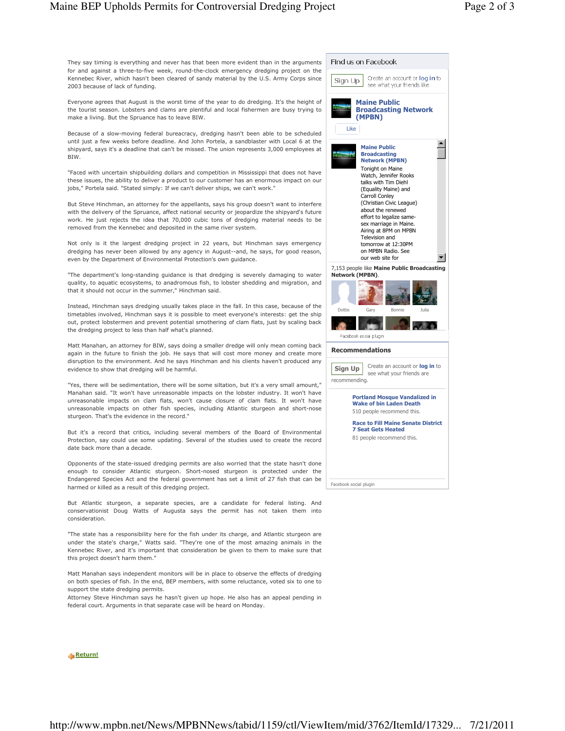They say timing is everything and never has that been more evident than in the arguments for and against a three-to-five week, round-the-clock emergency dredging project on the Kennebec River, which hasn't been cleared of sandy material by the U.S. Army Corps since 2003 because of lack of funding.

Everyone agrees that August is the worst time of the year to do dredging. It's the height of the tourist season. Lobsters and clams are plentiful and local fishermen are busy trying to make a living. But the Spruance has to leave BIW.

Because of a slow-moving federal bureacracy, dredging hasn't been able to be scheduled until just a few weeks before deadline. And John Portela, a sandblaster with Local 6 at the shipyard, says it's a deadline that can't be missed. The union represents 3,000 employees at BIW.

"Faced with uncertain shipbuilding dollars and competition in Mississippi that does not have these issues, the ability to deliver a product to our customer has an enormous impact on our jobs," Portela said. "Stated simply: If we can't deliver ships, we can't work."

But Steve Hinchman, an attorney for the appellants, says his group doesn't want to interfere with the delivery of the Spruance, affect national security or jeopardize the shipyard's future work. He just rejects the idea that 70,000 cubic tons of dredging material needs to be removed from the Kennebec and deposited in the same river system.

Not only is it the largest dredging project in 22 years, but Hinchman says emergency dredging has never been allowed by any agency in August--and, he says, for good reason, even by the Department of Environmental Protection's own guidance.

"The department's long-standing guidance is that dredging is severely damaging to water quality, to aquatic ecosystems, to anadromous fish, to lobster shedding and migration, and that it should not occur in the summer," Hinchman said.

Instead, Hinchman says dredging usually takes place in the fall. In this case, because of the timetables involved, Hinchman says it is possible to meet everyone's interests: get the ship out, protect lobstermen and prevent potential smothering of clam flats, just by scaling back the dredging project to less than half what's planned.

Matt Manahan, an attorney for BIW, says doing a smaller dredge will only mean coming back again in the future to finish the job. He says that will cost more money and create more disruption to the environment. And he says Hinchman and his clients haven't produced any evidence to show that dredging will be harmful.

"Yes, there will be sedimentation, there will be some siltation, but it's a very small amount," Manahan said. "It won't have unreasonable impacts on the lobster industry. It won't have unreasonable impacts on clam flats, won't cause closure of clam flats. It won't have unreasonable impacts on other fish species, including Atlantic sturgeon and short-nose sturgeon. That's the evidence in the record."

But it's a record that critics, including several members of the Board of Environmental Protection, say could use some updating. Several of the studies used to create the record date back more than a decade.

Opponents of the state-issued dredging permits are also worried that the state hasn't done enough to consider Atlantic sturgeon. Short-nosed sturgeon is protected under the Endangered Species Act and the federal government has set a limit of 27 fish that can be harmed or killed as a result of this dredging project.

But Atlantic sturgeon, a separate species, are a candidate for federal listing. And conservationist Doug Watts of Augusta says the permit has not taken them into consideration.

"The state has a responsibility here for the fish under its charge, and Atlantic sturgeon are under the state's charge," Watts said. "They're one of the most amazing animals in the Kennebec River, and it's important that consideration be given to them to make sure that this project doesn't harm them."

Matt Manahan says independent monitors will be in place to observe the effects of dredging on both species of fish. In the end, BEP members, with some reluctance, voted six to one to support the state dredging permits.

Attorney Steve Hinchman says he hasn't given up hope. He also has an appeal pending in federal court. Arguments in that separate case will be heard on Monday.

## Return!



Find us on Facebook

Sign Up

Create an account or log in to